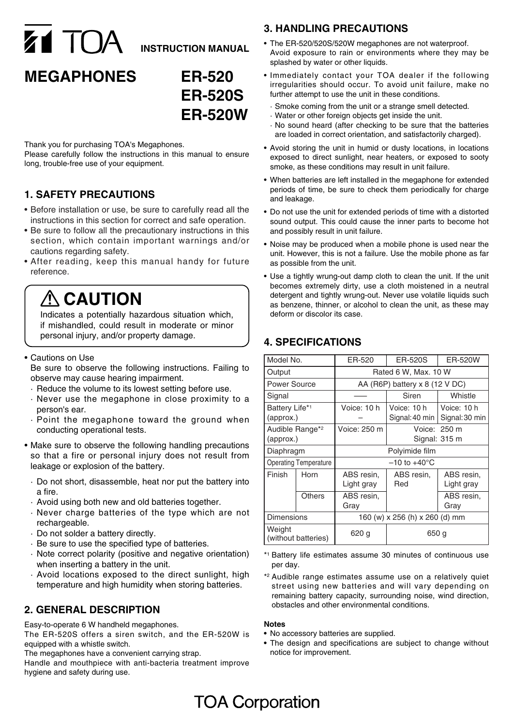# Z1 TOA **INSTRUCTION MANUAL**

## **MEGAPHONES ER-520**

# **ER-520S ER-520W**

Thank you for purchasing TOA's Megaphones.

Please carefully follow the instructions in this manual to ensure long, trouble-free use of your equipment.

## **1. SAFETY PRECAUTIONS**

- Before installation or use, be sure to carefully read all the instructions in this section for correct and safe operation.
- Be sure to follow all the precautionary instructions in this section, which contain important warnings and/or cautions regarding safety.
- After reading, keep this manual handy for future reference.

# **A** CAUTION

Indicates a potentially hazardous situation which, if mishandled, could result in moderate or minor personal injury, and/or property damage.

#### • Cautions on Use

Be sure to observe the following instructions. Failing to observe may cause hearing impairment.

- · Reduce the volume to its lowest setting before use.
- · Never use the megaphone in close proximity to a person's ear.
- · Point the megaphone toward the ground when conducting operational tests.
- Make sure to observe the following handling precautions so that a fire or personal injury does not result from leakage or explosion of the battery.
	- · Do not short, disassemble, heat nor put the battery into a fire.
	- · Avoid using both new and old batteries together.
	- · Never charge batteries of the type which are not rechargeable.
	- · Do not solder a battery directly.
	- · Be sure to use the specified type of batteries.
	- · Note correct polarity (positive and negative orientation) when inserting a battery in the unit.
	- · Avoid locations exposed to the direct sunlight, high temperature and high humidity when storing batteries.

## **2. GENERAL DESCRIPTION**

Easy-to-operate 6 W handheld megaphones.

The ER-520S offers a siren switch, and the ER-520W is equipped with a whistle switch.

The megaphones have a convenient carrying strap.

Handle and mouthpiece with anti-bacteria treatment improve hygiene and safety during use.

## **3. HANDLING PRECAUTIONS**

- The ER-520/520S/520W megaphones are not waterproof. Avoid exposure to rain or environments where they may be splashed by water or other liquids.
- Immediately contact your TOA dealer if the following irregularities should occur. To avoid unit failure, make no further attempt to use the unit in these conditions.
	- · Smoke coming from the unit or a strange smell detected.
	- · Water or other foreign objects get inside the unit.
	- · No sound heard (after checking to be sure that the batteries are loaded in correct orientation, and satisfactorily charged).
- Avoid storing the unit in humid or dusty locations, in locations exposed to direct sunlight, near heaters, or exposed to sooty smoke, as these conditions may result in unit failure.
- When batteries are left installed in the megaphone for extended periods of time, be sure to check them periodically for charge and leakage.
- Do not use the unit for extended periods of time with a distorted sound output. This could cause the inner parts to become hot and possibly result in unit failure.
- Noise may be produced when a mobile phone is used near the unit. However, this is not a failure. Use the mobile phone as far as possible from the unit.
- Use a tightly wrung-out damp cloth to clean the unit. If the unit becomes extremely dirty, use a cloth moistened in a neutral detergent and tightly wrung-out. Never use volatile liquids such as benzene, thinner, or alcohol to clean the unit, as these may deform or discolor its case.

## **4. SPECIFICATIONS**

| Model No.                                |        | ER-520                           | ER-520S                       | <b>ER-520W</b>                |
|------------------------------------------|--------|----------------------------------|-------------------------------|-------------------------------|
| Output                                   |        | Rated 6 W, Max. 10 W             |                               |                               |
| <b>Power Source</b>                      |        | AA (R6P) battery $x$ 8 (12 V DC) |                               |                               |
| Signal                                   |        |                                  | Siren                         | Whistle                       |
| Battery Life* <sup>1</sup><br>(approx.)  |        | Voice: 10 h                      | Voice: 10 h<br>Signal: 40 min | Voice: 10 h<br>Signal: 30 min |
| Audible Range* <sup>2</sup><br>(approx.) |        | Voice: 250 m                     |                               | Voice: 250 m<br>Signal: 315 m |
| Diaphragm                                |        | Polyimide film                   |                               |                               |
| <b>Operating Temperature</b>             |        | $-10$ to $+40^{\circ}$ C         |                               |                               |
| Finish                                   | Horn   | ABS resin,<br>Light gray         | ABS resin,<br>Red             | ABS resin,<br>Light gray      |
|                                          | Others | ABS resin,<br>Grav               |                               | ABS resin,<br>Gray            |
| <b>Dimensions</b>                        |        | 160 (w) x 256 (h) x 260 (d) mm   |                               |                               |
| Weight<br>(without batteries)            |        | 620 g                            | 650 g                         |                               |

- \*1 Battery life estimates assume 30 minutes of continuous use per day.
- \*2 Audible range estimates assume use on a relatively quiet street using new batteries and will vary depending on remaining battery capacity, surrounding noise, wind direction, obstacles and other environmental conditions.

#### **Notes**

- **•** No accessory batteries are supplied.
- **•** The design and specifications are subject to change without notice for improvement.

# **TOA Corporation**